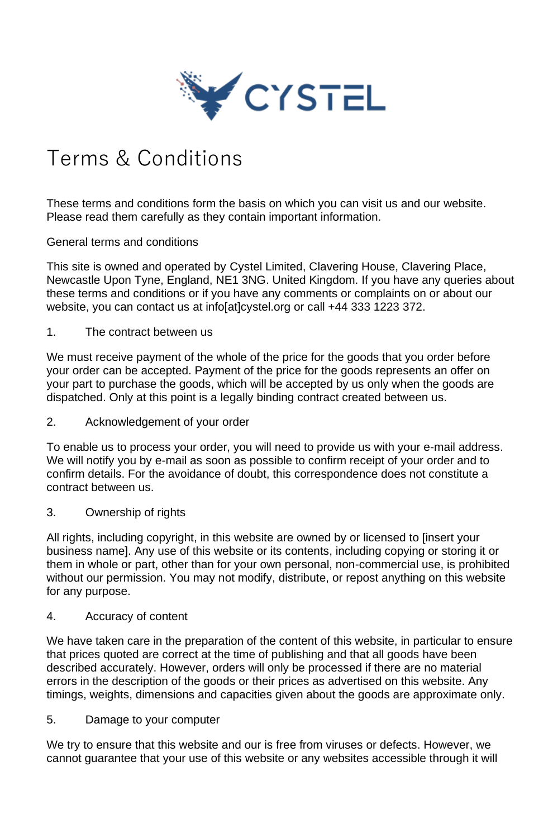

# Terms & Conditions

These terms and conditions form the basis on which you can visit us and our website. Please read them carefully as they contain important information.

General terms and conditions

This site is owned and operated by Cystel Limited, Clavering House, Clavering Place, Newcastle Upon Tyne, England, NE1 3NG. United Kingdom. If you have any queries about these terms and conditions or if you have any comments or complaints on or about our website, you can contact us at info[at]cystel.org or call +44 333 1223 372.

1. The contract between us

We must receive payment of the whole of the price for the goods that you order before your order can be accepted. Payment of the price for the goods represents an offer on your part to purchase the goods, which will be accepted by us only when the goods are dispatched. Only at this point is a legally binding contract created between us.

2. Acknowledgement of your order

To enable us to process your order, you will need to provide us with your e-mail address. We will notify you by e-mail as soon as possible to confirm receipt of your order and to confirm details. For the avoidance of doubt, this correspondence does not constitute a contract between us.

3. Ownership of rights

All rights, including copyright, in this website are owned by or licensed to [insert your business name]. Any use of this website or its contents, including copying or storing it or them in whole or part, other than for your own personal, non-commercial use, is prohibited without our permission. You may not modify, distribute, or repost anything on this website for any purpose.

4. Accuracy of content

We have taken care in the preparation of the content of this website, in particular to ensure that prices quoted are correct at the time of publishing and that all goods have been described accurately. However, orders will only be processed if there are no material errors in the description of the goods or their prices as advertised on this website. Any timings, weights, dimensions and capacities given about the goods are approximate only.

5. Damage to your computer

We try to ensure that this website and our is free from viruses or defects. However, we cannot guarantee that your use of this website or any websites accessible through it will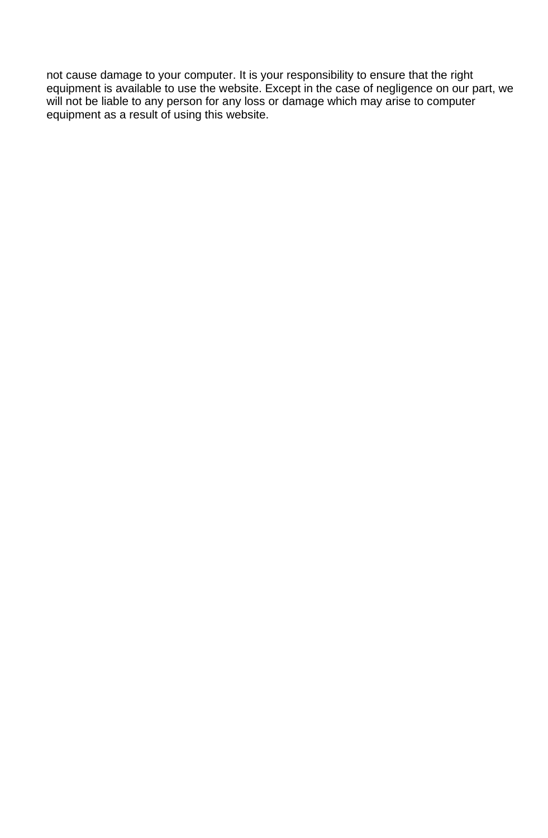not cause damage to your computer. It is your responsibility to ensure that the right equipment is available to use the website. Except in the case of negligence on our part, we will not be liable to any person for any loss or damage which may arise to computer equipment as a result of using this website.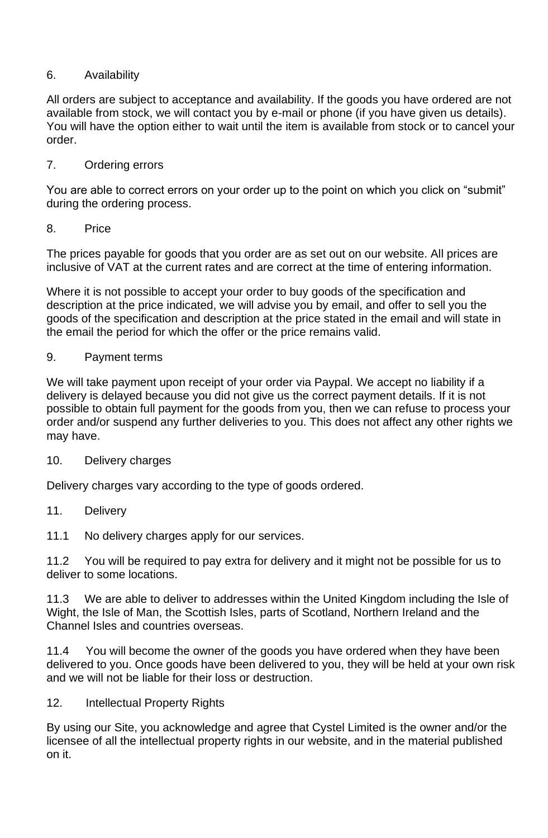## 6. Availability

All orders are subject to acceptance and availability. If the goods you have ordered are not available from stock, we will contact you by e-mail or phone (if you have given us details). You will have the option either to wait until the item is available from stock or to cancel your order.

## 7. Ordering errors

You are able to correct errors on your order up to the point on which you click on "submit" during the ordering process.

#### 8. Price

The prices payable for goods that you order are as set out on our website. All prices are inclusive of VAT at the current rates and are correct at the time of entering information.

Where it is not possible to accept your order to buy goods of the specification and description at the price indicated, we will advise you by email, and offer to sell you the goods of the specification and description at the price stated in the email and will state in the email the period for which the offer or the price remains valid.

#### 9. Payment terms

We will take payment upon receipt of your order via Paypal. We accept no liability if a delivery is delayed because you did not give us the correct payment details. If it is not possible to obtain full payment for the goods from you, then we can refuse to process your order and/or suspend any further deliveries to you. This does not affect any other rights we may have.

#### 10. Delivery charges

Delivery charges vary according to the type of goods ordered.

11. Delivery

11.1 No delivery charges apply for our services.

11.2 You will be required to pay extra for delivery and it might not be possible for us to deliver to some locations.

11.3 We are able to deliver to addresses within the United Kingdom including the Isle of Wight, the Isle of Man, the Scottish Isles, parts of Scotland, Northern Ireland and the Channel Isles and countries overseas.

11.4 You will become the owner of the goods you have ordered when they have been delivered to you. Once goods have been delivered to you, they will be held at your own risk and we will not be liable for their loss or destruction.

12. Intellectual Property Rights

By using our Site, you acknowledge and agree that Cystel Limited is the owner and/or the licensee of all the intellectual property rights in our website, and in the material published on it.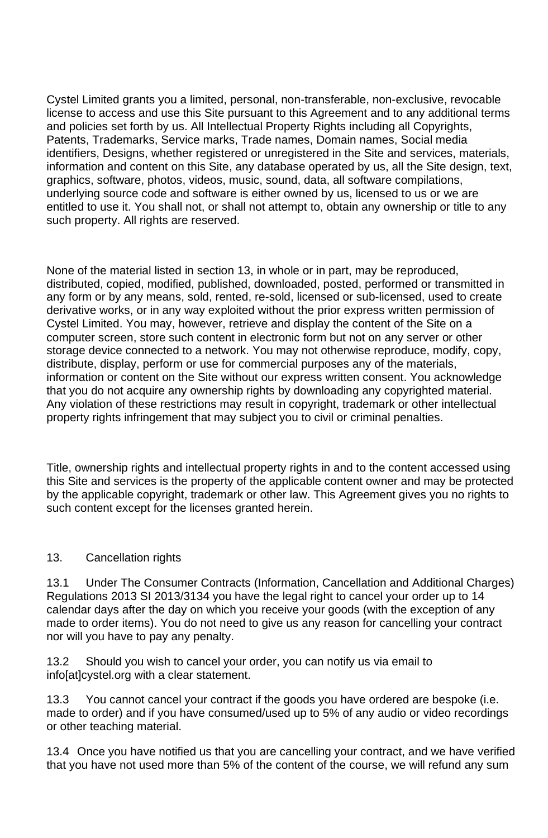Cystel Limited grants you a limited, personal, non-transferable, non-exclusive, revocable license to access and use this Site pursuant to this Agreement and to any additional terms and policies set forth by us. All Intellectual Property Rights including all Copyrights, Patents, Trademarks, Service marks, Trade names, Domain names, Social media identifiers, Designs, whether registered or unregistered in the Site and services, materials, information and content on this Site, any database operated by us, all the Site design, text, graphics, software, photos, videos, music, sound, data, all software compilations, underlying source code and software is either owned by us, licensed to us or we are entitled to use it. You shall not, or shall not attempt to, obtain any ownership or title to any such property. All rights are reserved.

None of the material listed in section 13, in whole or in part, may be reproduced, distributed, copied, modified, published, downloaded, posted, performed or transmitted in any form or by any means, sold, rented, re-sold, licensed or sub-licensed, used to create derivative works, or in any way exploited without the prior express written permission of Cystel Limited. You may, however, retrieve and display the content of the Site on a computer screen, store such content in electronic form but not on any server or other storage device connected to a network. You may not otherwise reproduce, modify, copy, distribute, display, perform or use for commercial purposes any of the materials, information or content on the Site without our express written consent. You acknowledge that you do not acquire any ownership rights by downloading any copyrighted material. Any violation of these restrictions may result in copyright, trademark or other intellectual property rights infringement that may subject you to civil or criminal penalties.

Title, ownership rights and intellectual property rights in and to the content accessed using this Site and services is the property of the applicable content owner and may be protected by the applicable copyright, trademark or other law. This Agreement gives you no rights to such content except for the licenses granted herein.

#### 13. Cancellation rights

13.1 Under The Consumer Contracts (Information, Cancellation and Additional Charges) Regulations 2013 SI 2013/3134 you have the legal right to cancel your order up to 14 calendar days after the day on which you receive your goods (with the exception of any made to order items). You do not need to give us any reason for cancelling your contract nor will you have to pay any penalty.

13.2 Should you wish to cancel your order, you can notify us via email to info[at]cystel.org with a clear statement.

13.3 You cannot cancel your contract if the goods you have ordered are bespoke (i.e. made to order) and if you have consumed/used up to 5% of any audio or video recordings or other teaching material.

13.4 Once you have notified us that you are cancelling your contract, and we have verified that you have not used more than 5% of the content of the course, we will refund any sum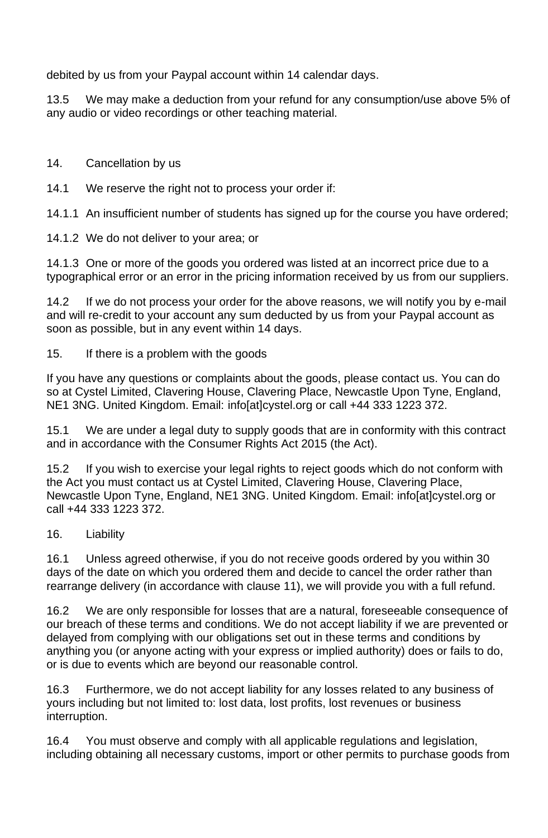debited by us from your Paypal account within 14 calendar days.

13.5 We may make a deduction from your refund for any consumption/use above 5% of any audio or video recordings or other teaching material.

14. Cancellation by us

14.1 We reserve the right not to process your order if:

14.1.1 An insufficient number of students has signed up for the course you have ordered;

14.1.2 We do not deliver to your area; or

14.1.3 One or more of the goods you ordered was listed at an incorrect price due to a typographical error or an error in the pricing information received by us from our suppliers.

14.2 If we do not process your order for the above reasons, we will notify you by e-mail and will re-credit to your account any sum deducted by us from your Paypal account as soon as possible, but in any event within 14 days.

15. If there is a problem with the goods

If you have any questions or complaints about the goods, please contact us. You can do so at Cystel Limited, Clavering House, Clavering Place, Newcastle Upon Tyne, England, NE1 3NG. United Kingdom. Email: info[at]cystel.org or call +44 333 1223 372.

15.1 We are under a legal duty to supply goods that are in conformity with this contract and in accordance with the Consumer Rights Act 2015 (the Act).

15.2 If you wish to exercise your legal rights to reject goods which do not conform with the Act you must contact us at Cystel Limited, Clavering House, Clavering Place, Newcastle Upon Tyne, England, NE1 3NG. United Kingdom. Email: info[at]cystel.org or call +44 333 1223 372.

16. Liability

16.1 Unless agreed otherwise, if you do not receive goods ordered by you within 30 days of the date on which you ordered them and decide to cancel the order rather than rearrange delivery (in accordance with clause 11), we will provide you with a full refund.

16.2 We are only responsible for losses that are a natural, foreseeable consequence of our breach of these terms and conditions. We do not accept liability if we are prevented or delayed from complying with our obligations set out in these terms and conditions by anything you (or anyone acting with your express or implied authority) does or fails to do, or is due to events which are beyond our reasonable control.

16.3 Furthermore, we do not accept liability for any losses related to any business of yours including but not limited to: lost data, lost profits, lost revenues or business interruption.

16.4 You must observe and comply with all applicable regulations and legislation, including obtaining all necessary customs, import or other permits to purchase goods from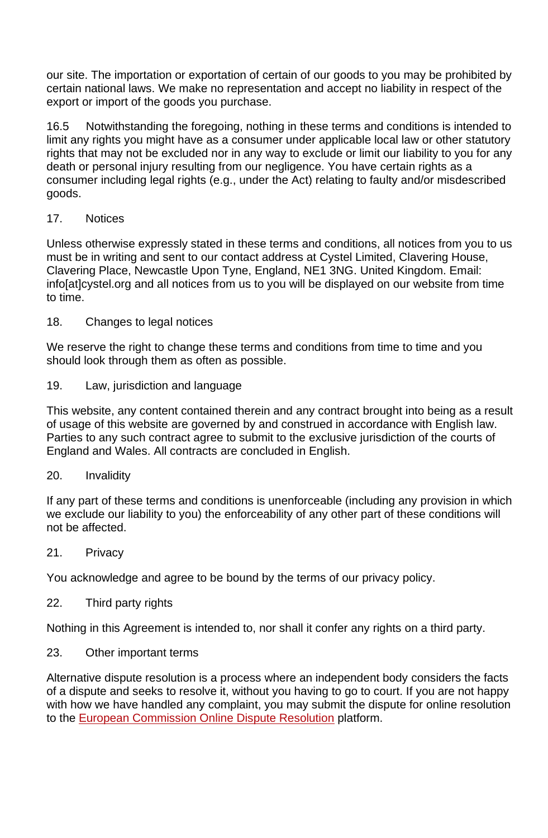our site. The importation or exportation of certain of our goods to you may be prohibited by certain national laws. We make no representation and accept no liability in respect of the export or import of the goods you purchase.

16.5 Notwithstanding the foregoing, nothing in these terms and conditions is intended to limit any rights you might have as a consumer under applicable local law or other statutory rights that may not be excluded nor in any way to exclude or limit our liability to you for any death or personal injury resulting from our negligence. You have certain rights as a consumer including legal rights (e.g., under the Act) relating to faulty and/or misdescribed goods.

## 17. Notices

Unless otherwise expressly stated in these terms and conditions, all notices from you to us must be in writing and sent to our contact address at Cystel Limited, Clavering House, Clavering Place, Newcastle Upon Tyne, England, NE1 3NG. United Kingdom. Email: info[at]cystel.org and all notices from us to you will be displayed on our website from time to time.

18. Changes to legal notices

We reserve the right to change these terms and conditions from time to time and you should look through them as often as possible.

19. Law, jurisdiction and language

This website, any content contained therein and any contract brought into being as a result of usage of this website are governed by and construed in accordance with English law. Parties to any such contract agree to submit to the exclusive jurisdiction of the courts of England and Wales. All contracts are concluded in English.

#### 20. Invalidity

If any part of these terms and conditions is unenforceable (including any provision in which we exclude our liability to you) the enforceability of any other part of these conditions will not be affected.

#### 21. Privacy

You acknowledge and agree to be bound by the terms of our privacy policy.

22. Third party rights

Nothing in this Agreement is intended to, nor shall it confer any rights on a third party.

#### 23. Other important terms

Alternative dispute resolution is a process where an independent body considers the facts of a dispute and seeks to resolve it, without you having to go to court. If you are not happy with how we have handled any complaint, you may submit the dispute for online resolution to the European Commission Online Dispute Resolution platform.